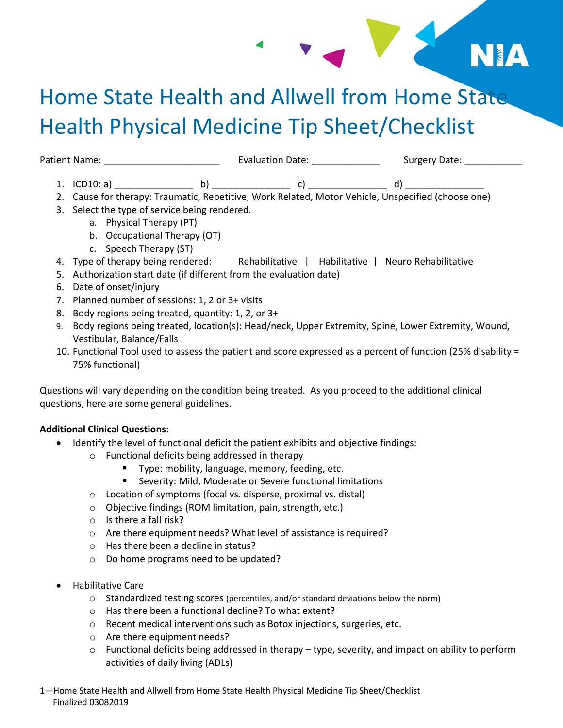# Home State Health and Allwell from Home State Health Physical Medicine Tip Sheet/Checklist

**EXAMPLE AND STREET** 

Patient Name: \_\_\_\_\_\_\_\_\_\_\_\_\_\_\_\_\_\_\_\_\_\_ Evaluation Date: \_\_\_\_\_\_\_\_\_\_\_\_\_ Surgery Date: \_\_\_\_\_\_\_\_\_\_\_ 1. ICD10: a) \_\_\_\_\_\_\_\_\_\_\_\_\_\_\_ b) \_\_\_\_\_\_\_\_\_\_\_\_\_\_\_ c) \_\_\_\_\_\_\_\_\_\_\_\_\_\_\_ d) \_\_\_\_\_\_\_\_\_\_\_\_\_\_\_

- 2. Cause for therapy: Traumatic, Repetitive, Work Related, Motor Vehicle, Unspecified (choose one)
- 3. Select the type of service being rendered.
	- a. Physical Therapy (PT)
	- b. Occupational Therapy (OT)
	- c. Speech Therapy (ST)
- 4. Type of therapy being rendered: Rehabilitative | Habilitative | Neuro Rehabilitative
- 5. Authorization start date (if different from the evaluation date)
- 6. Date of onset/injury
- 7. Planned number of sessions: 1, 2 or 3+ visits
- 8. Body regions being treated, quantity: 1, 2, or 3+
- 9. Body regions being treated, location(s): Head/neck, Upper Extremity, Spine, Lower Extremity, Wound, Vestibular, Balance/Falls
- 10. Functional Tool used to assess the patient and score expressed as a percent of function (25% disability = 75% functional)

Questions will vary depending on the condition being treated. As you proceed to the additional clinical questions, here are some general guidelines.

#### **Additional Clinical Questions:**

- Identify the level of functional deficit the patient exhibits and objective findings:
	- o Functional deficits being addressed in therapy
		- **Type: mobility, language, memory, feeding, etc.**
		- Severity: Mild, Moderate or Severe functional limitations
	- o Location of symptoms (focal vs. disperse, proximal vs. distal)
	- o Objective findings (ROM limitation, pain, strength, etc.)
	- o Is there a fall risk?
	- o Are there equipment needs? What level of assistance is required?
	- o Has there been a decline in status?
	- o Do home programs need to be updated?
- Habilitative Care
	- o Standardized testing scores (percentiles, and/or standard deviations below the norm)
	- o Has there been a functional decline? To what extent?
	- o Recent medical interventions such as Botox injections, surgeries, etc.
	- o Are there equipment needs?
	- $\circ$  Functional deficits being addressed in therapy type, severity, and impact on ability to perform activities of daily living (ADLs)

1—Home State Health and Allwell from Home State Health Physical Medicine Tip Sheet/Checklist Finalized 03082019